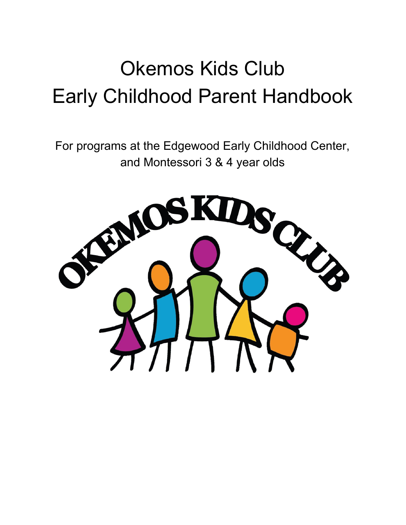# Okemos Kids Club Early Childhood Parent Handbook

For programs at the Edgewood Early Childhood Center, and Montessori 3 & 4 year olds

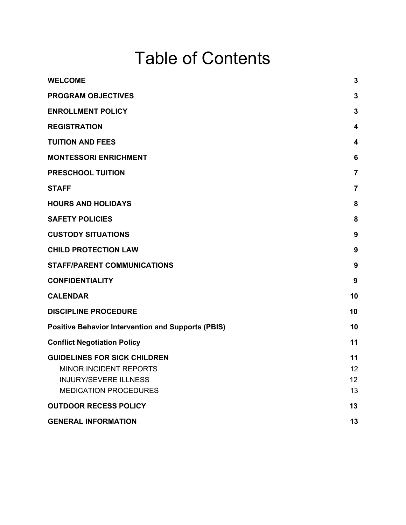## Table of Contents

| <b>PROGRAM OBJECTIVES</b>                                            | 3        |
|----------------------------------------------------------------------|----------|
| <b>ENROLLMENT POLICY</b>                                             | 3        |
| <b>REGISTRATION</b>                                                  | 4        |
| <b>TUITION AND FEES</b>                                              | 4        |
| <b>MONTESSORI ENRICHMENT</b>                                         | 6        |
| <b>PRESCHOOL TUITION</b>                                             | 7        |
| <b>STAFF</b>                                                         | 7        |
| <b>HOURS AND HOLIDAYS</b>                                            | 8        |
| <b>SAFETY POLICIES</b>                                               | 8        |
| <b>CUSTODY SITUATIONS</b>                                            | 9        |
| <b>CHILD PROTECTION LAW</b>                                          | 9        |
| <b>STAFF/PARENT COMMUNICATIONS</b>                                   | 9        |
| <b>CONFIDENTIALITY</b>                                               | 9        |
| <b>CALENDAR</b>                                                      | 10       |
| <b>DISCIPLINE PROCEDURE</b>                                          | 10       |
| <b>Positive Behavior Intervention and Supports (PBIS)</b>            | 10       |
| <b>Conflict Negotiation Policy</b>                                   | 11       |
| <b>GUIDELINES FOR SICK CHILDREN</b><br><b>MINOR INCIDENT REPORTS</b> | 11<br>12 |
| <b>INJURY/SEVERE ILLNESS</b>                                         | 12       |
| <b>MEDICATION PROCEDURES</b>                                         | 13       |
| <b>OUTDOOR RECESS POLICY</b>                                         | 13       |
| <b>GENERAL INFORMATION</b>                                           | 13       |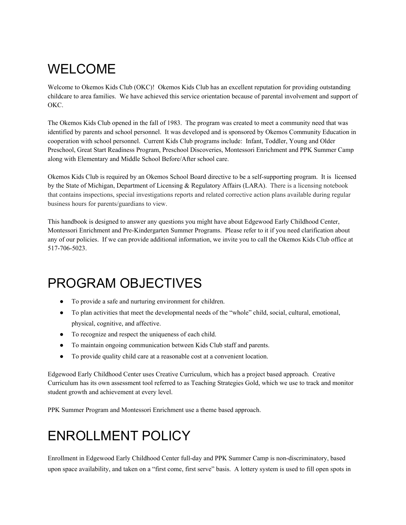## <span id="page-2-0"></span>WELCOME

Welcome to Okemos Kids Club (OKC)! Okemos Kids Club has an excellent reputation for providing outstanding childcare to area families. We have achieved this service orientation because of parental involvement and support of OKC.

The Okemos Kids Club opened in the fall of 1983. The program was created to meet a community need that was identified by parents and school personnel. It was developed and is sponsored by Okemos Community Education in cooperation with school personnel. Current Kids Club programs include: Infant, Toddler, Young and Older Preschool, Great Start Readiness Program, Preschool Discoveries, Montessori Enrichment and PPK Summer Camp along with Elementary and Middle School Before/After school care.

Okemos Kids Club is required by an Okemos School Board directive to be a self-supporting program. It is licensed by the State of Michigan, Department of Licensing & Regulatory Affairs (LARA). There is a licensing notebook that contains inspections, special investigations reports and related corrective action plans available during regular business hours for parents/guardians to view.

This handbook is designed to answer any questions you might have about Edgewood Early Childhood Center, Montessori Enrichment and Pre-Kindergarten Summer Programs. Please refer to it if you need clarification about any of our policies. If we can provide additional information, we invite you to call the Okemos Kids Club office at 517-706-5023.

## <span id="page-2-1"></span>PROGRAM OBJECTIVES

- **●** To provide a safe and nurturing environment for children.
- **●** To plan activities that meet the developmental needs of the "whole" child, social, cultural, emotional, physical, cognitive, and affective.
- **●** To recognize and respect the uniqueness of each child.
- **●** To maintain ongoing communication between Kids Club staff and parents.
- **●** To provide quality child care at a reasonable cost at a convenient location.

Edgewood Early Childhood Center uses Creative Curriculum, which has a project based approach. Creative Curriculum has its own assessment tool referred to as Teaching Strategies Gold, which we use to track and monitor student growth and achievement at every level.

<span id="page-2-2"></span>PPK Summer Program and Montessori Enrichment use a theme based approach.

## ENROLLMENT POLICY

Enrollment in Edgewood Early Childhood Center full-day and PPK Summer Camp is non-discriminatory, based upon space availability, and taken on a "first come, first serve" basis. A lottery system is used to fill open spots in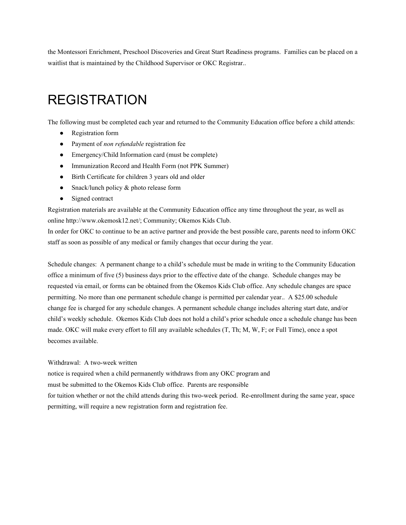the Montessori Enrichment, Preschool Discoveries and Great Start Readiness programs. Families can be placed on a waitlist that is maintained by the Childhood Supervisor or OKC Registrar..

## <span id="page-3-0"></span>REGISTRATION

The following must be completed each year and returned to the Community Education office before a child attends:

- Registration form
- Payment of *non refundable* registration fee
- Emergency/Child Information card (must be complete)
- Immunization Record and Health Form (not PPK Summer)
- Birth Certificate for children 3 years old and older
- Snack/lunch policy & photo release form
- Signed contract

Registration materials are available at the Community Education office any time throughout the year, as well as online http://www.okemosk12.net/; Community; Okemos Kids Club.

In order for OKC to continue to be an active partner and provide the best possible care, parents need to inform OKC staff as soon as possible of any medical or family changes that occur during the year.

Schedule changes: A permanent change to a child's schedule must be made in writing to the Community Education office a minimum of five (5) business days prior to the effective date of the change. Schedule changes may be requested via email, or forms can be obtained from the Okemos Kids Club office. Any schedule changes are space permitting. No more than one permanent schedule change is permitted per calendar year.. A \$25.00 schedule change fee is charged for any schedule changes. A permanent schedule change includes altering start date, and/or child's weekly schedule. Okemos Kids Club does not hold a child's prior schedule once a schedule change has been made. OKC will make every effort to fill any available schedules (T, Th; M, W, F; or Full Time), once a spot becomes available.

#### Withdrawal: A two-week written

notice is required when a child permanently withdraws from any OKC program and must be submitted to the Okemos Kids Club office. Parents are responsible for tuition whether or not the child attends during this two-week period. Re-enrollment during the same year, space permitting, will require a new registration form and registration fee.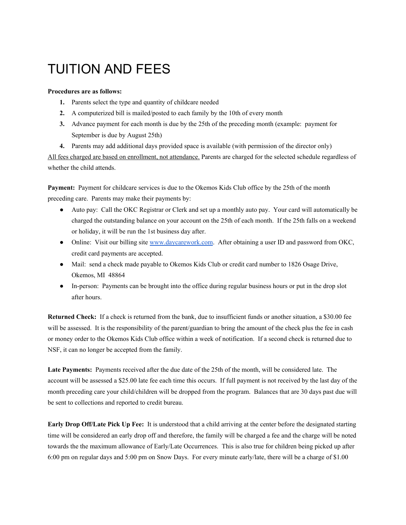## <span id="page-4-0"></span>TUITION AND FEES

#### **Procedures are as follows:**

- **1.** Parents select the type and quantity of childcare needed
- **2.** A computerized bill is mailed/posted to each family by the 10th of every month
- **3.** Advance payment for each month is due by the 25th of the preceding month (example: payment for September is due by August 25th)
- **4.** Parents may add additional days provided space is available (with permission of the director only)

All fees charged are based on enrollment, not attendance. Parents are charged for the selected schedule regardless of whether the child attends.

**Payment:** Payment for childcare services is due to the Okemos Kids Club office by the 25th of the month preceding care. Parents may make their payments by:

- **●** Auto pay: Call the OKC Registrar or Clerk and set up a monthly auto pay. Your card will automatically be charged the outstanding balance on your account on the 25th of each month. If the 25th falls on a weekend or holiday, it will be run the 1st business day after.
- **●** Online: Visit our billing site [www.daycarework.com](http://www.daycareworksfamily.com/). After obtaining a user ID and password from OKC, credit card payments are accepted.
- **●** Mail: send a check made payable to Okemos Kids Club or credit card number to 1826 Osage Drive, Okemos, MI 48864
- **●** In-person: Payments can be brought into the office during regular business hours or put in the drop slot after hours.

**Returned Check:** If a check is returned from the bank, due to insufficient funds or another situation, a \$30.00 fee will be assessed. It is the responsibility of the parent/guardian to bring the amount of the check plus the fee in cash or money order to the Okemos Kids Club office within a week of notification. If a second check is returned due to NSF, it can no longer be accepted from the family.

**Late Payments:** Payments received after the due date of the 25th of the month, will be considered late. The account will be assessed a \$25.00 late fee each time this occurs. If full payment is not received by the last day of the month preceding care your child/children will be dropped from the program. Balances that are 30 days past due will be sent to collections and reported to credit bureau.

**Early Drop Off/Late Pick Up Fee:** It is understood that a child arriving at the center before the designated starting time will be considered an early drop off and therefore, the family will be charged a fee and the charge will be noted towards the the maximum allowance of Early/Late Occurrences. This is also true for children being picked up after 6:00 pm on regular days and 5:00 pm on Snow Days. For every minute early/late, there will be a charge of \$1.00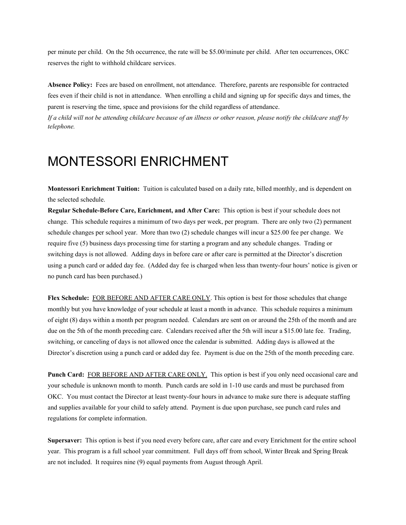per minute per child. On the 5th occurrence, the rate will be \$5.00/minute per child. After ten occurrences, OKC reserves the right to withhold childcare services.

**Absence Policy:** Fees are based on enrollment, not attendance. Therefore, parents are responsible for contracted fees even if their child is not in attendance. When enrolling a child and signing up for specific days and times, the parent is reserving the time, space and provisions for the child regardless of attendance.

If a child will not be attending childcare because of an illness or other reason, please notify the childcare staff by *telephone.*

### <span id="page-5-0"></span>MONTESSORI ENRICHMENT

**Montessori Enrichment Tuition:** Tuition is calculated based on a daily rate, billed monthly, and is dependent on the selected schedule.

**Regular Schedule-Before Care, Enrichment, and After Care:** This option is best if your schedule does not change. This schedule requires a minimum of two days per week, per program. There are only two (2) permanent schedule changes per school year. More than two (2) schedule changes will incur a \$25.00 fee per change. We require five (5) business days processing time for starting a program and any schedule changes. Trading or switching days is not allowed. Adding days in before care or after care is permitted at the Director's discretion using a punch card or added day fee. (Added day fee is charged when less than twenty-four hours' notice is given or no punch card has been purchased.)

**Flex Schedule:** FOR BEFORE AND AFTER CARE ONLY. This option is best for those schedules that change monthly but you have knowledge of your schedule at least a month in advance. This schedule requires a minimum of eight (8) days within a month per program needed. Calendars are sent on or around the 25th of the month and are due on the 5th of the month preceding care. Calendars received after the 5th will incur a \$15.00 late fee. Trading, switching, or canceling of days is not allowed once the calendar is submitted. Adding days is allowed at the Director's discretion using a punch card or added day fee. Payment is due on the 25th of the month preceding care.

**Punch Card:** FOR BEFORE AND AFTER CARE ONLY. This option is best if you only need occasional care and your schedule is unknown month to month. Punch cards are sold in 1-10 use cards and must be purchased from OKC. You must contact the Director at least twenty-four hours in advance to make sure there is adequate staffing and supplies available for your child to safely attend. Payment is due upon purchase, see punch card rules and regulations for complete information.

**Supersaver:** This option is best if you need every before care, after care and every Enrichment for the entire school year. This program is a full school year commitment. Full days off from school, Winter Break and Spring Break are not included. It requires nine (9) equal payments from August through April.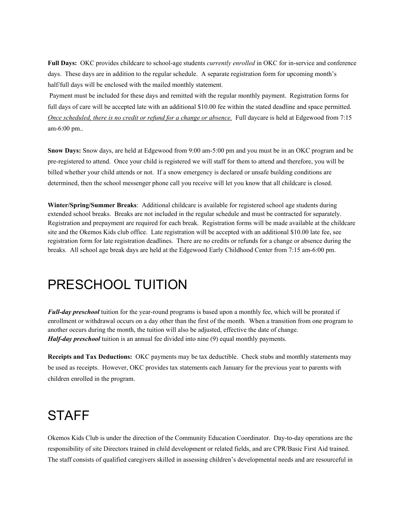**Full Days:** OKC provides childcare to school-age students *currently enrolled* in OKC for in-service and conference days. These days are in addition to the regular schedule. A separate registration form for upcoming month's half/full days will be enclosed with the mailed monthly statement.

Payment must be included for these days and remitted with the regular monthly payment. Registration forms for full days of care will be accepted late with an additional \$10.00 fee within the stated deadline and space permitted. *Once scheduled, there is no credit or refund for a change or absence.* Full daycare is held at Edgewood from 7:15 am-6:00 pm..

**Snow Days:** Snow days, are held at Edgewood from 9:00 am-5:00 pm and you must be in an OKC program and be pre-registered to attend. Once your child is registered we will staff for them to attend and therefore, you will be billed whether your child attends or not. If a snow emergency is declared or unsafe building conditions are determined, then the school messenger phone call you receive will let you know that all childcare is closed.

**Winter/Spring/Summer Breaks**: Additional childcare is available for registered school age students during extended school breaks. Breaks are not included in the regular schedule and must be contracted for separately. Registration and prepayment are required for each break. Registration forms will be made available at the childcare site and the Okemos Kids club office. Late registration will be accepted with an additional \$10.00 late fee, see registration form for late registration deadlines. There are no credits or refunds for a change or absence during the breaks. All school age break days are held at the Edgewood Early Childhood Center from 7:15 am-6:00 pm.

### <span id="page-6-0"></span>PRESCHOOL TUITION

*Full-day preschool* tuition for the year-round programs is based upon a monthly fee, which will be prorated if enrollment or withdrawal occurs on a day other than the first of the month. When a transition from one program to another occurs during the month, the tuition will also be adjusted, effective the date of change. *Half-day preschool* tuition is an annual fee divided into nine (9) equal monthly payments.

**Receipts and Tax Deductions:** OKC payments may be tax deductible. Check stubs and monthly statements may be used as receipts. However, OKC provides tax statements each January for the previous year to parents with children enrolled in the program.

## <span id="page-6-1"></span>**STAFF**

Okemos Kids Club is under the direction of the Community Education Coordinator. Day-to-day operations are the responsibility of site Directors trained in child development or related fields, and are CPR/Basic First Aid trained. The staff consists of qualified caregivers skilled in assessing children's developmental needs and are resourceful in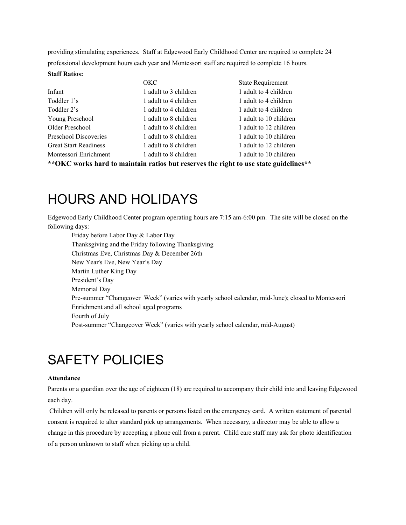providing stimulating experiences. Staff at Edgewood Early Childhood Center are required to complete 24 professional development hours each year and Montessori staff are required to complete 16 hours.

#### **Staff Ratios:**

|                              | OKC                   | <b>State Requirement</b> |
|------------------------------|-----------------------|--------------------------|
| Infant                       | 1 adult to 3 children | 1 adult to 4 children    |
| Toddler 1's                  | 1 adult to 4 children | 1 adult to 4 children    |
| Toddler 2's                  | 1 adult to 4 children | 1 adult to 4 children    |
| Young Preschool              | 1 adult to 8 children | 1 adult to 10 children   |
| Older Preschool              | 1 adult to 8 children | 1 adult to 12 children   |
| Preschool Discoveries        | 1 adult to 8 children | 1 adult to 10 children   |
| <b>Great Start Readiness</b> | 1 adult to 8 children | 1 adult to 12 children   |
| Montessori Enrichment        | 1 adult to 8 children | 1 adult to 10 children   |
|                              |                       |                          |

**\*\*OKC works hard to maintain ratios but reserves the right to use state guidelines\*\***

### <span id="page-7-0"></span>HOURS AND HOLIDAYS

Edgewood Early Childhood Center program operating hours are 7:15 am-6:00 pm. The site will be closed on the following days:

Friday before Labor Day & Labor Day Thanksgiving and the Friday following Thanksgiving Christmas Eve, Christmas Day & December 26th New Year's Eve, New Year's Day Martin Luther King Day President's Day Memorial Day Pre-summer "Changeover Week" (varies with yearly school calendar, mid-June); closed to Montessori Enrichment and all school aged programs Fourth of July Post-summer "Changeover Week" (varies with yearly school calendar, mid-August)

### <span id="page-7-1"></span>SAFETY POLICIES

#### **Attendance**

Parents or a guardian over the age of eighteen (18) are required to accompany their child into and leaving Edgewood each day.

Children will only be released to parents or persons listed on the emergency card. A written statement of parental consent is required to alter standard pick up arrangements. When necessary, a director may be able to allow a change in this procedure by accepting a phone call from a parent. Child care staff may ask for photo identification of a person unknown to staff when picking up a child.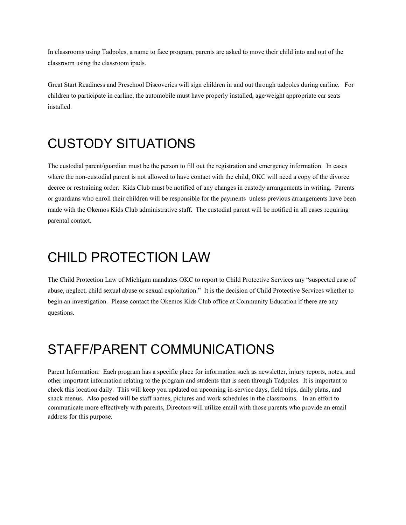In classrooms using Tadpoles, a name to face program, parents are asked to move their child into and out of the classroom using the classroom ipads.

Great Start Readiness and Preschool Discoveries will sign children in and out through tadpoles during carline. For children to participate in carline, the automobile must have properly installed, age/weight appropriate car seats installed.

## <span id="page-8-0"></span>CUSTODY SITUATIONS

The custodial parent/guardian must be the person to fill out the registration and emergency information. In cases where the non-custodial parent is not allowed to have contact with the child, OKC will need a copy of the divorce decree or restraining order. Kids Club must be notified of any changes in custody arrangements in writing. Parents or guardians who enroll their children will be responsible for the payments unless previous arrangements have been made with the Okemos Kids Club administrative staff. The custodial parent will be notified in all cases requiring parental contact.

### <span id="page-8-1"></span>CHILD PROTECTION LAW

The Child Protection Law of Michigan mandates OKC to report to Child Protective Services any "suspected case of abuse, neglect, child sexual abuse or sexual exploitation." It is the decision of Child Protective Services whether to begin an investigation. Please contact the Okemos Kids Club office at Community Education if there are any questions.

## <span id="page-8-2"></span>STAFF/PARENT COMMUNICATIONS

Parent Information: Each program has a specific place for information such as newsletter, injury reports, notes, and other important information relating to the program and students that is seen through Tadpoles. It is important to check this location daily. This will keep you updated on upcoming in-service days, field trips, daily plans, and snack menus. Also posted will be staff names, pictures and work schedules in the classrooms. In an effort to communicate more effectively with parents, Directors will utilize email with those parents who provide an email address for this purpose.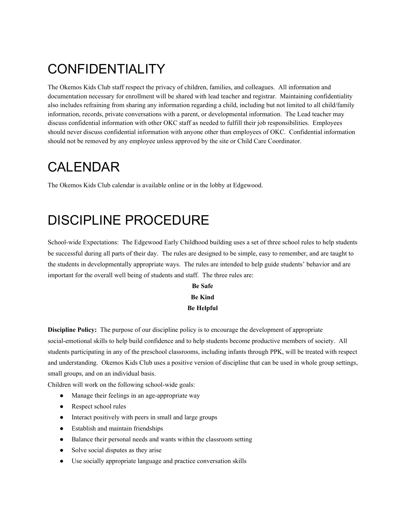## <span id="page-9-0"></span>CONFIDENTIALITY

The Okemos Kids Club staff respect the privacy of children, families, and colleagues. All information and documentation necessary for enrollment will be shared with lead teacher and registrar. Maintaining confidentiality also includes refraining from sharing any information regarding a child, including but not limited to all child/family information, records, private conversations with a parent, or developmental information. The Lead teacher may discuss confidential information with other OKC staff as needed to fulfill their job responsibilities. Employees should never discuss confidential information with anyone other than employees of OKC. Confidential information should not be removed by any employee unless approved by the site or Child Care Coordinator.

## <span id="page-9-1"></span>CALENDAR

The Okemos Kids Club calendar is available online or in the lobby at Edgewood.

## <span id="page-9-2"></span>DISCIPLINE PROCEDURE

School-wide Expectations: The Edgewood Early Childhood building uses a set of three school rules to help students be successful during all parts of their day. The rules are designed to be simple, easy to remember, and are taught to the students in developmentally appropriate ways. The rules are intended to help guide students' behavior and are important for the overall well being of students and staff. The three rules are:

### **Be Safe Be Kind Be Helpful**

**Discipline Policy:** The purpose of our discipline policy is to encourage the development of appropriate social-emotional skills to help build confidence and to help students become productive members of society. All students participating in any of the preschool classrooms, including infants through PPK, will be treated with respect and understanding. Okemos Kids Club uses a positive version of discipline that can be used in whole group settings, small groups, and on an individual basis.

Children will work on the following school-wide goals:

- **●** Manage their feelings in an age-appropriate way
- **●** Respect school rules
- **●** Interact positively with peers in small and large groups
- **●** Establish and maintain friendships
- **●** Balance their personal needs and wants within the classroom setting
- **●** Solve social disputes as they arise
- **●** Use socially appropriate language and practice conversation skills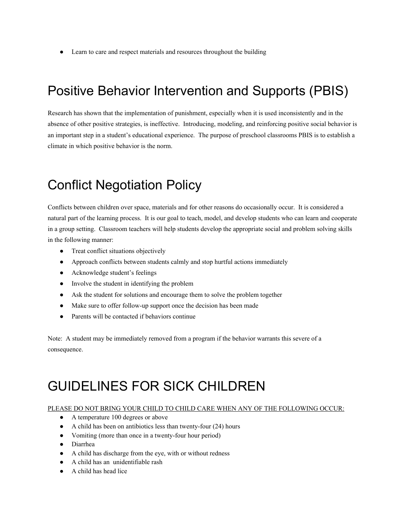**●** Learn to care and respect materials and resources throughout the building

## <span id="page-10-0"></span>Positive Behavior Intervention and Supports (PBIS)

Research has shown that the implementation of punishment, especially when it is used inconsistently and in the absence of other positive strategies, is ineffective. Introducing, modeling, and reinforcing positive social behavior is an important step in a student's educational experience. The purpose of preschool classrooms PBIS is to establish a climate in which positive behavior is the norm.

## <span id="page-10-1"></span>Conflict Negotiation Policy

Conflicts between children over space, materials and for other reasons do occasionally occur. It is considered a natural part of the learning process. It is our goal to teach, model, and develop students who can learn and cooperate in a group setting. Classroom teachers will help students develop the appropriate social and problem solving skills in the following manner:

- **●** Treat conflict situations objectively
- **●** Approach conflicts between students calmly and stop hurtful actions immediately
- **●** Acknowledge student's feelings
- **●** Involve the student in identifying the problem
- **●** Ask the student for solutions and encourage them to solve the problem together
- **●** Make sure to offer follow-up support once the decision has been made
- **●** Parents will be contacted if behaviors continue

Note: A student may be immediately removed from a program if the behavior warrants this severe of a consequence.

## <span id="page-10-2"></span>GUIDELINES FOR SICK CHILDREN

#### PLEASE DO NOT BRING YOUR CHILD TO CHILD CARE WHEN ANY OF THE FOLLOWING OCCUR:

- **●** A temperature 100 degrees or above
- **●** A child has been on antibiotics less than twenty-four (24) hours
- **●** Vomiting (more than once in a twenty-four hour period)
- **●** Diarrhea
- **●** A child has discharge from the eye, with or without redness
- **●** A child has an unidentifiable rash
- **●** A child has head lice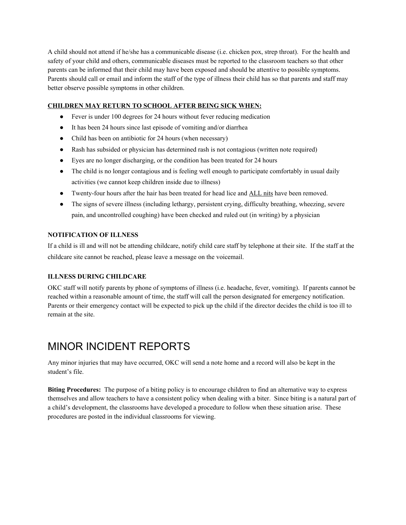A child should not attend if he/she has a communicable disease (i.e. chicken pox, strep throat). For the health and safety of your child and others, communicable diseases must be reported to the classroom teachers so that other parents can be informed that their child may have been exposed and should be attentive to possible symptoms. Parents should call or email and inform the staff of the type of illness their child has so that parents and staff may better observe possible symptoms in other children.

#### **CHILDREN MAY RETURN TO SCHOOL AFTER BEING SICK WHEN:**

- **●** Fever is under 100 degrees for 24 hours without fever reducing medication
- **●** It has been 24 hours since last episode of vomiting and/or diarrhea
- **●** Child has been on antibiotic for 24 hours (when necessary)
- **●** Rash has subsided or physician has determined rash is not contagious (written note required)
- **●** Eyes are no longer discharging, or the condition has been treated for 24 hours
- The child is no longer contagious and is feeling well enough to participate comfortably in usual daily activities (we cannot keep children inside due to illness)
- **•** Twenty-four hours after the hair has been treated for head lice and **ALL** nits have been removed.
- **●** The signs of severe illness (including lethargy, persistent crying, difficulty breathing, wheezing, severe pain, and uncontrolled coughing) have been checked and ruled out (in writing) by a physician

#### **NOTIFICATION OF ILLNESS**

If a child is ill and will not be attending childcare, notify child care staff by telephone at their site. If the staff at the childcare site cannot be reached, please leave a message on the voicemail.

#### **ILLNESS DURING CHILDCARE**

OKC staff will notify parents by phone of symptoms of illness (i.e. headache, fever, vomiting). If parents cannot be reached within a reasonable amount of time, the staff will call the person designated for emergency notification. Parents or their emergency contact will be expected to pick up the child if the director decides the child is too ill to remain at the site.

### <span id="page-11-0"></span>MINOR INCIDENT REPORTS

Any minor injuries that may have occurred, OKC will send a note home and a record will also be kept in the student's file.

**Biting Procedures:** The purpose of a biting policy is to encourage children to find an alternative way to express themselves and allow teachers to have a consistent policy when dealing with a biter. Since biting is a natural part of a child's development, the classrooms have developed a procedure to follow when these situation arise. These procedures are posted in the individual classrooms for viewing.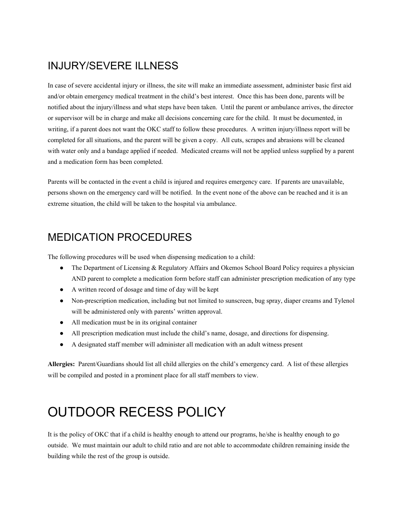### <span id="page-12-0"></span>INJURY/SEVERE ILLNESS

In case of severe accidental injury or illness, the site will make an immediate assessment, administer basic first aid and/or obtain emergency medical treatment in the child's best interest. Once this has been done, parents will be notified about the injury/illness and what steps have been taken. Until the parent or ambulance arrives, the director or supervisor will be in charge and make all decisions concerning care for the child. It must be documented, in writing, if a parent does not want the OKC staff to follow these procedures. A written injury/illness report will be completed for all situations, and the parent will be given a copy. All cuts, scrapes and abrasions will be cleaned with water only and a bandage applied if needed. Medicated creams will not be applied unless supplied by a parent and a medication form has been completed.

Parents will be contacted in the event a child is injured and requires emergency care. If parents are unavailable, persons shown on the emergency card will be notified. In the event none of the above can be reached and it is an extreme situation, the child will be taken to the hospital via ambulance.

### <span id="page-12-1"></span>MEDICATION PROCEDURES

The following procedures will be used when dispensing medication to a child:

- **●** The Department of Licensing & Regulatory Affairs and Okemos School Board Policy requires a physician AND parent to complete a medication form before staff can administer prescription medication of any type
- **●** A written record of dosage and time of day will be kept
- **●** Non-prescription medication, including but not limited to sunscreen, bug spray, diaper creams and Tylenol will be administered only with parents' written approval.
- **●** All medication must be in its original container
- **●** All prescription medication must include the child's name, dosage, and directions for dispensing.
- **●** A designated staff member will administer all medication with an adult witness present

**Allergies:** Parent/Guardians should list all child allergies on the child's emergency card. A list of these allergies will be compiled and posted in a prominent place for all staff members to view.

## <span id="page-12-2"></span>OUTDOOR RECESS POLICY

It is the policy of OKC that if a child is healthy enough to attend our programs, he/she is healthy enough to go outside. We must maintain our adult to child ratio and are not able to accommodate children remaining inside the building while the rest of the group is outside.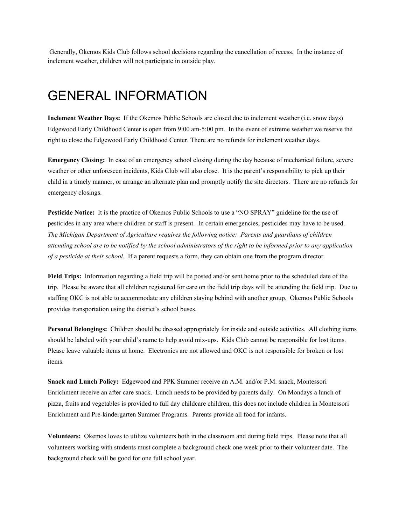Generally, Okemos Kids Club follows school decisions regarding the cancellation of recess. In the instance of inclement weather, children will not participate in outside play.

### <span id="page-13-0"></span>GENERAL INFORMATION

**Inclement Weather Days:** If the Okemos Public Schools are closed due to inclement weather (i.e. snow days) Edgewood Early Childhood Center is open from 9:00 am-5:00 pm. In the event of extreme weather we reserve the right to close the Edgewood Early Childhood Center. There are no refunds for inclement weather days.

**Emergency Closing:** In case of an emergency school closing during the day because of mechanical failure, severe weather or other unforeseen incidents, Kids Club will also close. It is the parent's responsibility to pick up their child in a timely manner, or arrange an alternate plan and promptly notify the site directors. There are no refunds for emergency closings.

**Pesticide Notice:** It is the practice of Okemos Public Schools to use a "NO SPRAY" guideline for the use of pesticides in any area where children or staff is present. In certain emergencies, pesticides may have to be used. *The Michigan Department of Agriculture requires the following notice: Parents and guardians of children* attending school are to be notified by the school administrators of the right to be informed prior to any application *of a pesticide at their school.* If a parent requests a form, they can obtain one from the program director.

**Field Trips:** Information regarding a field trip will be posted and/or sent home prior to the scheduled date of the trip. Please be aware that all children registered for care on the field trip days will be attending the field trip. Due to staffing OKC is not able to accommodate any children staying behind with another group. Okemos Public Schools provides transportation using the district's school buses.

**Personal Belongings:** Children should be dressed appropriately for inside and outside activities. All clothing items should be labeled with your child's name to help avoid mix-ups. Kids Club cannot be responsible for lost items. Please leave valuable items at home. Electronics are not allowed and OKC is not responsible for broken or lost items.

**Snack and Lunch Policy:** Edgewood and PPK Summer receive an A.M. and/or P.M. snack, Montessori Enrichment receive an after care snack. Lunch needs to be provided by parents daily. On Mondays a lunch of pizza, fruits and vegetables is provided to full day childcare children, this does not include children in Montessori Enrichment and Pre-kindergarten Summer Programs. Parents provide all food for infants.

**Volunteers:** Okemos loves to utilize volunteers both in the classroom and during field trips. Please note that all volunteers working with students must complete a background check one week prior to their volunteer date. The background check will be good for one full school year.